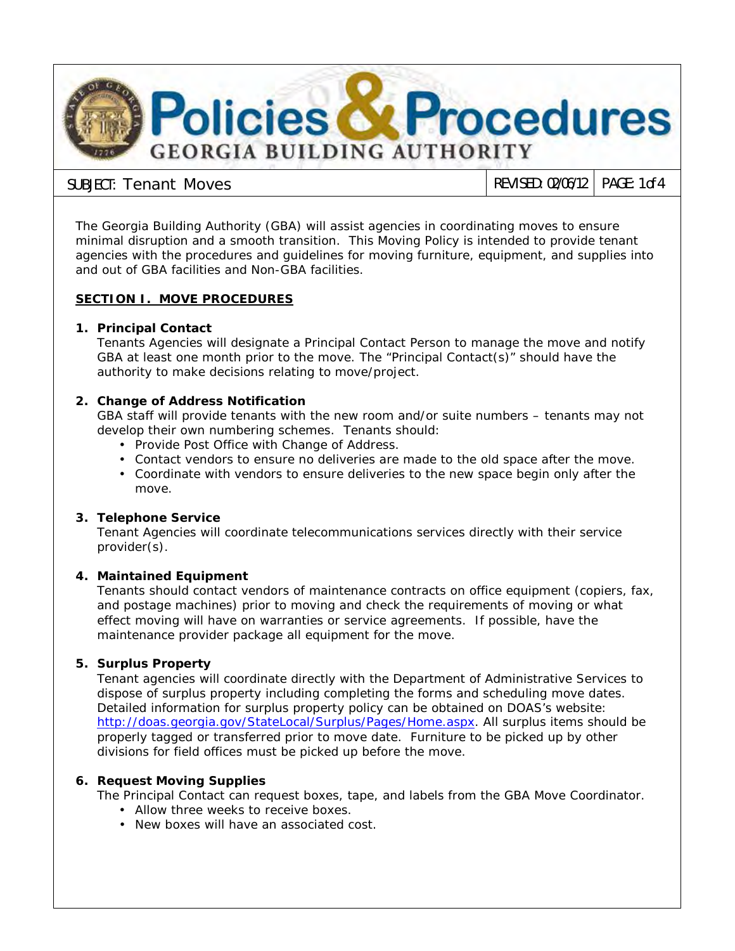

**SUBJECT: Tenant Moves REVISED:** 02/06/12 **PAGE:** 1 of 4

The Georgia Building Authority (GBA) will assist agencies in coordinating moves to ensure minimal disruption and a smooth transition. This Moving Policy is intended to provide tenant agencies with the procedures and guidelines for moving furniture, equipment, and supplies into and out of GBA facilities and Non-GBA facilities.

# **SECTION I. MOVE PROCEDURES**

# **1. Principal Contact**

Tenants Agencies will designate a Principal Contact Person to manage the move and notify GBA at least one month prior to the move. The "Principal Contact(s)" should have the authority to make decisions relating to move/project.

# **2. Change of Address Notification**

GBA staff will provide tenants with the new room and/or suite numbers – tenants may not develop their own numbering schemes. Tenants should:

- Provide Post Office with Change of Address.
- Contact vendors to ensure no deliveries are made to the old space after the move.
- Coordinate with vendors to ensure deliveries to the new space begin only after the move.

# **3. Telephone Service**

Tenant Agencies will coordinate telecommunications services directly with their service provider(s).

# **4. Maintained Equipment**

Tenants should contact vendors of maintenance contracts on office equipment (copiers, fax, and postage machines) prior to moving and check the requirements of moving or what effect moving will have on warranties or service agreements. If possible, have the maintenance provider package all equipment for the move.

# **5. Surplus Property**

Tenant agencies will coordinate directly with the Department of Administrative Services to dispose of surplus property including completing the forms and scheduling move dates. Detailed information for surplus property policy can be obtained on DOAS's website: [http://doas.georgia.gov/StateLocal/Surplus/Pages/Home.aspx.](http://doas.georgia.gov/StateLocal/Surplus/Pages/Home.aspx) All surplus items should be properly tagged or transferred prior to move date. Furniture to be picked up by other divisions for field offices must be picked up before the move.

# **6. Request Moving Supplies**

The Principal Contact can request boxes, tape, and labels from the GBA Move Coordinator.

- Allow three weeks to receive boxes.
- New boxes will have an associated cost.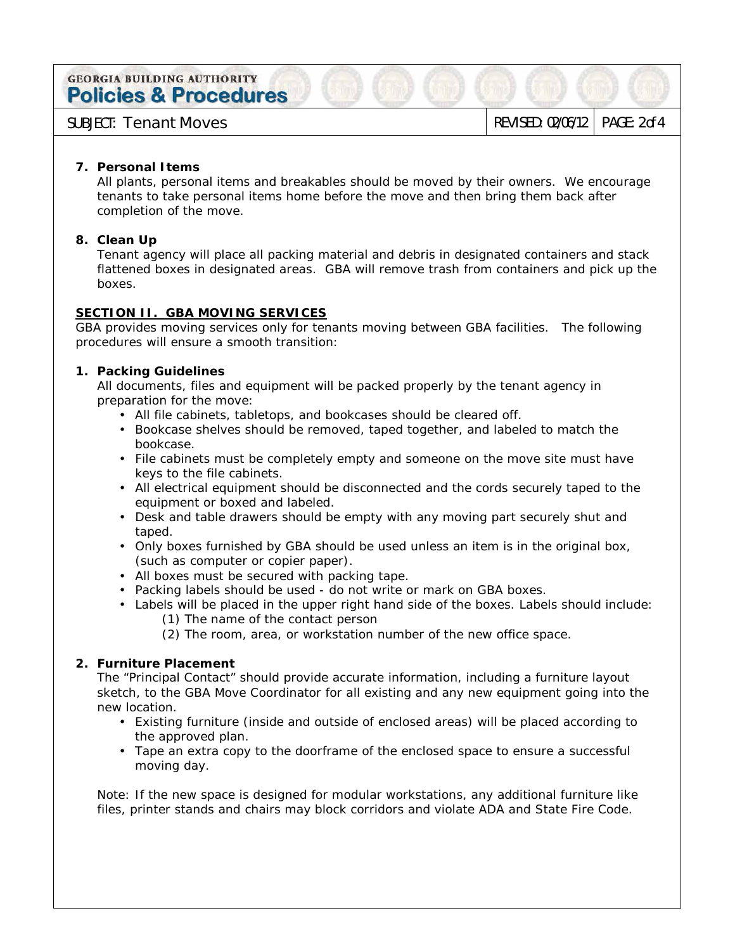**GEORGIA BUILDING AUTHORITY Policies & Procedures** 

**SUBJECT: Tenant Moves REVISED:** 02/06/12 **PAGE:** 2 of 4

#### **7. Personal Items**

All plants, personal items and breakables should be moved by their owners. We encourage tenants to take personal items home before the move and then bring them back after completion of the move.

# **8. Clean Up**

Tenant agency will place all packing material and debris in designated containers and stack flattened boxes in designated areas. GBA will remove trash from containers and pick up the boxes.

# **SECTION II. GBA MOVING SERVICES**

GBA provides moving services only for tenants moving between GBA facilities. The following procedures will ensure a smooth transition:

# **1. Packing Guidelines**

All documents, files and equipment will be packed properly by the tenant agency in preparation for the move:

- All file cabinets, tabletops, and bookcases should be cleared off.
- Bookcase shelves should be removed, taped together, and labeled to match the bookcase.
- File cabinets must be completely empty and someone on the move site must have keys to the file cabinets.
- All electrical equipment should be disconnected and the cords securely taped to the equipment or boxed and labeled.
- Desk and table drawers should be empty with any moving part securely shut and  $\mathcal{L}^{\mathcal{L}}$ taped.
- $\cdot$  Only boxes furnished by GBA should be used unless an item is in the original box, (such as computer or copier paper).
- All boxes must be secured with packing tape.
- Packing labels should be used do not write or mark on GBA boxes.
- Labels will be placed in the upper right hand side of the boxes. Labels should include:
	- (1) The name of the contact person
	- (2) The room, area, or workstation number of the new office space.

# **2. Furniture Placement**

The "Principal Contact" should provide accurate information, including a furniture layout sketch, to the GBA Move Coordinator for all existing and any new equipment going into the new location.

- Existing furniture (inside and outside of enclosed areas) will be placed according to the approved plan.
- Tape an extra copy to the doorframe of the enclosed space to ensure a successful moving day.

Note: If the new space is designed for modular workstations, any additional furniture like files, printer stands and chairs may block corridors and violate ADA and State Fire Code.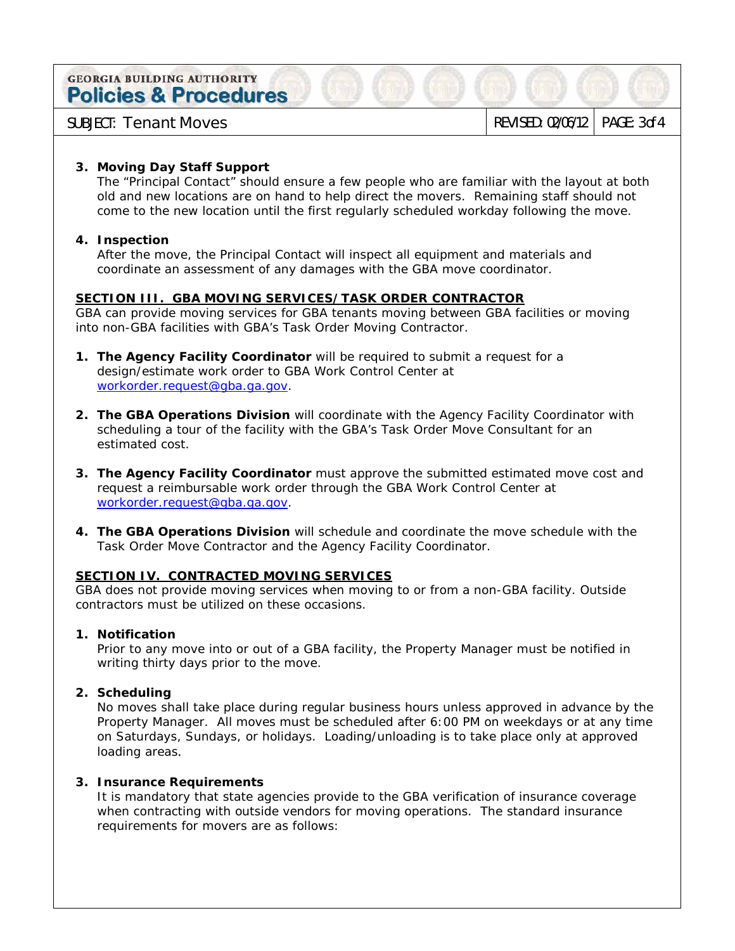**GEORGIA BUILDING AUTHORITY Policies & Procedures** 

**SUBJECT: Tenant Moves REVISED:** 02/06/12 **PAGE:** 3 of 4

# **3. Moving Day Staff Support**

The "Principal Contact" should ensure a few people who are familiar with the layout at both old and new locations are on hand to help direct the movers. Remaining staff should not come to the new location until the first regularly scheduled workday following the move.

# **4. Inspection**

After the move, the Principal Contact will inspect all equipment and materials and coordinate an assessment of any damages with the GBA move coordinator.

# **SECTION III. GBA MOVING SERVICES/TASK ORDER CONTRACTOR**

GBA can provide moving services for GBA tenants moving between GBA facilities or moving into non-GBA facilities with GBA's Task Order Moving Contractor.

- **1. The Agency Facility Coordinator** will be required to submit a request for a design/estimate work order to GBA Work Control Center at [workorder.request@gba.ga.gov.](mailto:workorder.request@gba.ga.gov)
- **2. The GBA Operations Division** will coordinate with the Agency Facility Coordinator with scheduling a tour of the facility with the GBA's Task Order Move Consultant for an estimated cost.
- **3. The Agency Facility Coordinator** must approve the submitted estimated move cost and request a reimbursable work order through the GBA Work Control Center at [workorder.request@gba.ga.gov.](mailto:workorder.request@gba.ga.gov)
- **4. The GBA Operations Division** will schedule and coordinate the move schedule with the Task Order Move Contractor and the Agency Facility Coordinator.

# **SECTION IV. CONTRACTED MOVING SERVICES**

GBA does not provide moving services when moving to or from a non-GBA facility. Outside contractors must be utilized on these occasions.

# **1. Notification**

Prior to any move into or out of a GBA facility, the Property Manager must be notified in writing thirty days prior to the move.

# **2. Scheduling**

No moves shall take place during regular business hours unless approved in advance by the Property Manager. All moves must be scheduled after 6:00 PM on weekdays or at any time on Saturdays, Sundays, or holidays. Loading/unloading is to take place only at approved loading areas.

# **3. Insurance Requirements**

It is mandatory that state agencies provide to the GBA verification of insurance coverage when contracting with outside vendors for moving operations. The standard insurance requirements for movers are as follows: